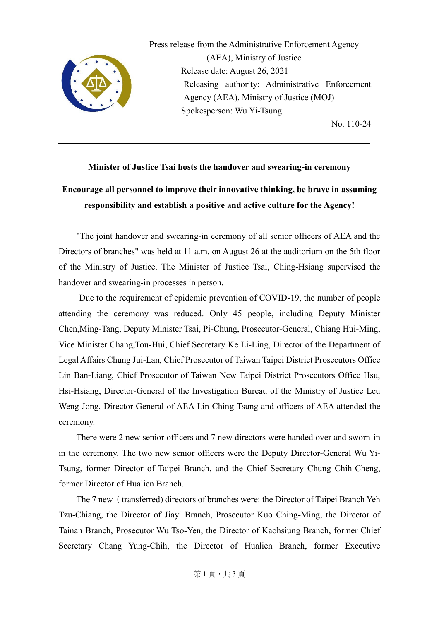

Press release from the Administrative Enforcement Agency (AEA), Ministry of Justice Release date: August 26, 2021 Releasing authority: Administrative Enforcement Agency (AEA), Ministry of Justice (MOJ) Spokesperson: Wu Yi-Tsung

No. 110-24

## **Minister of Justice Tsai hosts the handover and swearing-in ceremony**

## **Encourage all personnel to improve their innovative thinking, be brave in assuming responsibility and establish a positive and active culture for the Agency!**

"The joint handover and swearing-in ceremony of all senior officers of AEA and the Directors of branches" was held at 11 a.m. on August 26 at the auditorium on the 5th floor of the Ministry of Justice. The Minister of Justice Tsai, Ching-Hsiang supervised the handover and swearing-in processes in person.

 Due to the requirement of epidemic prevention of COVID-19, the number of people attending the ceremony was reduced. Only 45 people, including Deputy Minister Chen,Ming-Tang, Deputy Minister Tsai, Pi-Chung, Prosecutor-General, Chiang Hui-Ming, Vice Minister Chang,Tou-Hui, Chief Secretary Ke Li-Ling, Director of the Department of Legal Affairs Chung Jui-Lan, Chief Prosecutor of Taiwan Taipei District Prosecutors Office Lin Ban-Liang, Chief Prosecutor of Taiwan New Taipei District Prosecutors Office Hsu, Hsi-Hsiang, Director-General of the Investigation Bureau of the Ministry of Justice Leu Weng-Jong, Director-General of AEA Lin Ching-Tsung and officers of AEA attended the ceremony.

There were 2 new senior officers and 7 new directors were handed over and sworn-in in the ceremony. The two new senior officers were the Deputy Director-General Wu Yi-Tsung, former Director of Taipei Branch, and the Chief Secretary Chung Chih-Cheng, former Director of Hualien Branch.

The 7 new (transferred) directors of branches were: the Director of Taipei Branch Yeh Tzu-Chiang, the Director of Jiayi Branch, Prosecutor Kuo Ching-Ming, the Director of Tainan Branch, Prosecutor Wu Tso-Yen, the Director of Kaohsiung Branch, former Chief Secretary Chang Yung-Chih, the Director of Hualien Branch, former Executive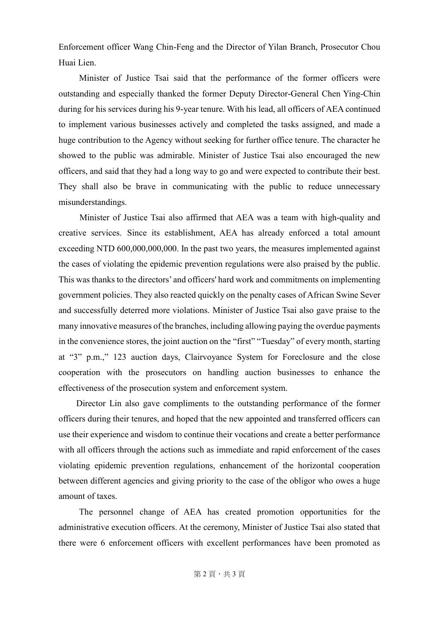Enforcement officer Wang Chin-Feng and the Director of Yilan Branch, Prosecutor Chou Huai Lien.

 Minister of Justice Tsai said that the performance of the former officers were outstanding and especially thanked the former Deputy Director-General Chen Ying-Chin during for his services during his 9-year tenure. With his lead, all officers of AEA continued to implement various businesses actively and completed the tasks assigned, and made a huge contribution to the Agency without seeking for further office tenure. The character he showed to the public was admirable. Minister of Justice Tsai also encouraged the new officers, and said that they had a long way to go and were expected to contribute their best. They shall also be brave in communicating with the public to reduce unnecessary misunderstandings.

Minister of Justice Tsai also affirmed that AEA was a team with high-quality and creative services. Since its establishment, AEA has already enforced a total amount exceeding NTD 600,000,000,000. In the past two years, the measures implemented against the cases of violating the epidemic prevention regulations were also praised by the public. This was thanks to the directors' and officers' hard work and commitments on implementing government policies. They also reacted quickly on the penalty cases of African Swine Sever and successfully deterred more violations. Minister of Justice Tsai also gave praise to the many innovative measures of the branches, including allowing paying the overdue payments in the convenience stores, the joint auction on the "first" "Tuesday" of every month, starting at "3" p.m.," 123 auction days, Clairvoyance System for Foreclosure and the close cooperation with the prosecutors on handling auction businesses to enhance the effectiveness of the prosecution system and enforcement system.

Director Lin also gave compliments to the outstanding performance of the former officers during their tenures, and hoped that the new appointed and transferred officers can use their experience and wisdom to continue their vocations and create a better performance with all officers through the actions such as immediate and rapid enforcement of the cases violating epidemic prevention regulations, enhancement of the horizontal cooperation between different agencies and giving priority to the case of the obligor who owes a huge amount of taxes.

 The personnel change of AEA has created promotion opportunities for the administrative execution officers. At the ceremony, Minister of Justice Tsai also stated that there were 6 enforcement officers with excellent performances have been promoted as